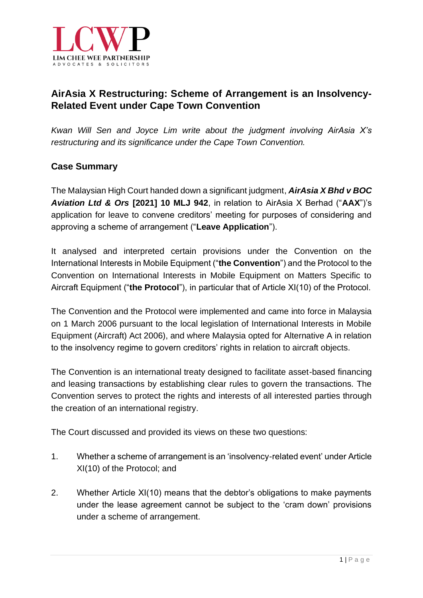

# **AirAsia X Restructuring: Scheme of Arrangement is an Insolvency-Related Event under Cape Town Convention**

*Kwan Will Sen and Joyce Lim write about the judgment involving AirAsia X's restructuring and its significance under the Cape Town Convention.*

### **Case Summary**

The Malaysian High Court handed down a significant judgment, *AirAsia X Bhd v BOC Aviation Ltd & Ors* **[2021] 10 MLJ 942**, in relation to AirAsia X Berhad ("**AAX**")'s application for leave to convene creditors' meeting for purposes of considering and approving a scheme of arrangement ("**Leave Application**").

It analysed and interpreted certain provisions under the Convention on the International Interests in Mobile Equipment ("**the Convention**") and the Protocol to the Convention on International Interests in Mobile Equipment on Matters Specific to Aircraft Equipment ("**the Protocol**"), in particular that of Article XI(10) of the Protocol.

The Convention and the Protocol were implemented and came into force in Malaysia on 1 March 2006 pursuant to the local legislation of International Interests in Mobile Equipment (Aircraft) Act 2006), and where Malaysia opted for Alternative A in relation to the insolvency regime to govern creditors' rights in relation to aircraft objects.

The Convention is an international treaty designed to facilitate asset-based financing and leasing transactions by establishing clear rules to govern the transactions. The Convention serves to protect the rights and interests of all interested parties through the creation of an international registry.

The Court discussed and provided its views on these two questions:

- 1. Whether a scheme of arrangement is an 'insolvency-related event' under Article XI(10) of the Protocol; and
- 2. Whether Article XI(10) means that the debtor's obligations to make payments under the lease agreement cannot be subject to the 'cram down' provisions under a scheme of arrangement.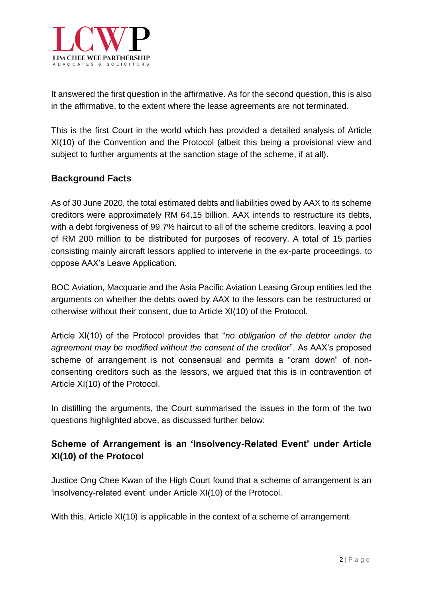

It answered the first question in the affirmative. As for the second question, this is also in the affirmative, to the extent where the lease agreements are not terminated.

This is the first Court in the world which has provided a detailed analysis of Article XI(10) of the Convention and the Protocol (albeit this being a provisional view and subject to further arguments at the sanction stage of the scheme, if at all).

### **Background Facts**

As of 30 June 2020, the total estimated debts and liabilities owed by AAX to its scheme creditors were approximately RM 64.15 billion. AAX intends to restructure its debts, with a debt forgiveness of 99.7% haircut to all of the scheme creditors, leaving a pool of RM 200 million to be distributed for purposes of recovery. A total of 15 parties consisting mainly aircraft lessors applied to intervene in the ex-parte proceedings, to oppose AAX's Leave Application.

BOC Aviation, Macquarie and the Asia Pacific Aviation Leasing Group entities led the arguments on whether the debts owed by AAX to the lessors can be restructured or otherwise without their consent, due to Article XI(10) of the Protocol.

Article XI(10) of the Protocol provides that "*no obligation of the debtor under the agreement may be modified without the consent of the creditor*". As AAX's proposed scheme of arrangement is not consensual and permits a "cram down" of nonconsenting creditors such as the lessors, we argued that this is in contravention of Article XI(10) of the Protocol.

In distilling the arguments, the Court summarised the issues in the form of the two questions highlighted above, as discussed further below:

## **Scheme of Arrangement is an 'Insolvency-Related Event' under Article XI(10) of the Protocol**

Justice Ong Chee Kwan of the High Court found that a scheme of arrangement is an 'insolvency-related event' under Article XI(10) of the Protocol.

With this, Article XI(10) is applicable in the context of a scheme of arrangement.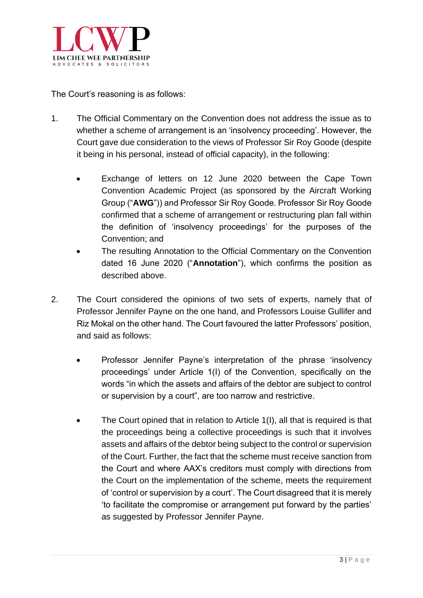

The Court's reasoning is as follows:

- 1. The Official Commentary on the Convention does not address the issue as to whether a scheme of arrangement is an 'insolvency proceeding'. However, the Court gave due consideration to the views of Professor Sir Roy Goode (despite it being in his personal, instead of official capacity), in the following:
	- Exchange of letters on 12 June 2020 between the Cape Town Convention Academic Project (as sponsored by the Aircraft Working Group ("**AWG**")) and Professor Sir Roy Goode. Professor Sir Roy Goode confirmed that a scheme of arrangement or restructuring plan fall within the definition of 'insolvency proceedings' for the purposes of the Convention; and
	- The resulting Annotation to the Official Commentary on the Convention dated 16 June 2020 ("**Annotation**"), which confirms the position as described above.
- 2. The Court considered the opinions of two sets of experts, namely that of Professor Jennifer Payne on the one hand, and Professors Louise Gullifer and Riz Mokal on the other hand. The Court favoured the latter Professors' position, and said as follows:
	- Professor Jennifer Payne's interpretation of the phrase 'insolvency proceedings' under Article 1(I) of the Convention, specifically on the words "in which the assets and affairs of the debtor are subject to control or supervision by a court", are too narrow and restrictive.
	- The Court opined that in relation to Article 1(I), all that is required is that the proceedings being a collective proceedings is such that it involves assets and affairs of the debtor being subject to the control or supervision of the Court. Further, the fact that the scheme must receive sanction from the Court and where AAX's creditors must comply with directions from the Court on the implementation of the scheme, meets the requirement of 'control or supervision by a court'. The Court disagreed that it is merely 'to facilitate the compromise or arrangement put forward by the parties' as suggested by Professor Jennifer Payne.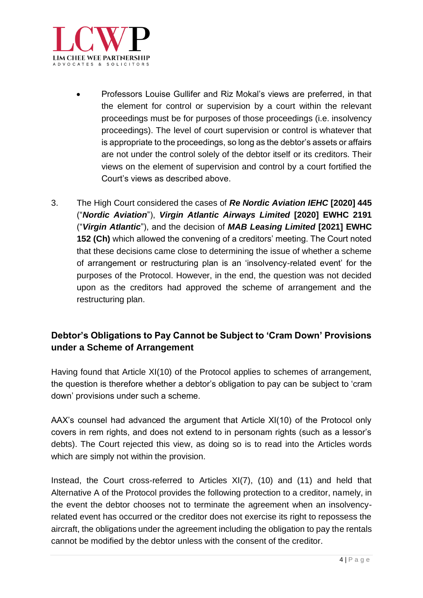

- Professors Louise Gullifer and Riz Mokal's views are preferred, in that the element for control or supervision by a court within the relevant proceedings must be for purposes of those proceedings (i.e. insolvency proceedings). The level of court supervision or control is whatever that is appropriate to the proceedings, so long as the debtor's assets or affairs are not under the control solely of the debtor itself or its creditors. Their views on the element of supervision and control by a court fortified the Court's views as described above.
- 3. The High Court considered the cases of *Re Nordic Aviation IEHC* **[2020] 445** ("*Nordic Aviation*"), *Virgin Atlantic Airways Limited* **[2020] EWHC 2191** ("*Virgin Atlantic*"), and the decision of *MAB Leasing Limited* **[2021] EWHC 152 (Ch)** which allowed the convening of a creditors' meeting. The Court noted that these decisions came close to determining the issue of whether a scheme of arrangement or restructuring plan is an 'insolvency-related event' for the purposes of the Protocol. However, in the end, the question was not decided upon as the creditors had approved the scheme of arrangement and the restructuring plan.

# **Debtor's Obligations to Pay Cannot be Subject to 'Cram Down' Provisions under a Scheme of Arrangement**

Having found that Article XI(10) of the Protocol applies to schemes of arrangement, the question is therefore whether a debtor's obligation to pay can be subject to 'cram down' provisions under such a scheme.

AAX's counsel had advanced the argument that Article XI(10) of the Protocol only covers in rem rights, and does not extend to in personam rights (such as a lessor's debts). The Court rejected this view, as doing so is to read into the Articles words which are simply not within the provision.

Instead, the Court cross-referred to Articles XI(7), (10) and (11) and held that Alternative A of the Protocol provides the following protection to a creditor, namely, in the event the debtor chooses not to terminate the agreement when an insolvencyrelated event has occurred or the creditor does not exercise its right to repossess the aircraft, the obligations under the agreement including the obligation to pay the rentals cannot be modified by the debtor unless with the consent of the creditor.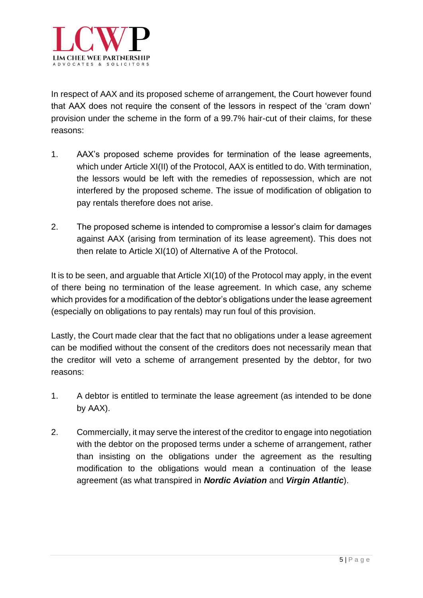

In respect of AAX and its proposed scheme of arrangement, the Court however found that AAX does not require the consent of the lessors in respect of the 'cram down' provision under the scheme in the form of a 99.7% hair-cut of their claims, for these reasons:

- 1. AAX's proposed scheme provides for termination of the lease agreements, which under Article XI(II) of the Protocol, AAX is entitled to do. With termination, the lessors would be left with the remedies of repossession, which are not interfered by the proposed scheme. The issue of modification of obligation to pay rentals therefore does not arise.
- 2. The proposed scheme is intended to compromise a lessor's claim for damages against AAX (arising from termination of its lease agreement). This does not then relate to Article XI(10) of Alternative A of the Protocol.

It is to be seen, and arguable that Article XI(10) of the Protocol may apply, in the event of there being no termination of the lease agreement. In which case, any scheme which provides for a modification of the debtor's obligations under the lease agreement (especially on obligations to pay rentals) may run foul of this provision.

Lastly, the Court made clear that the fact that no obligations under a lease agreement can be modified without the consent of the creditors does not necessarily mean that the creditor will veto a scheme of arrangement presented by the debtor, for two reasons:

- 1. A debtor is entitled to terminate the lease agreement (as intended to be done by AAX).
- 2. Commercially, it may serve the interest of the creditor to engage into negotiation with the debtor on the proposed terms under a scheme of arrangement, rather than insisting on the obligations under the agreement as the resulting modification to the obligations would mean a continuation of the lease agreement (as what transpired in *Nordic Aviation* and *Virgin Atlantic*).